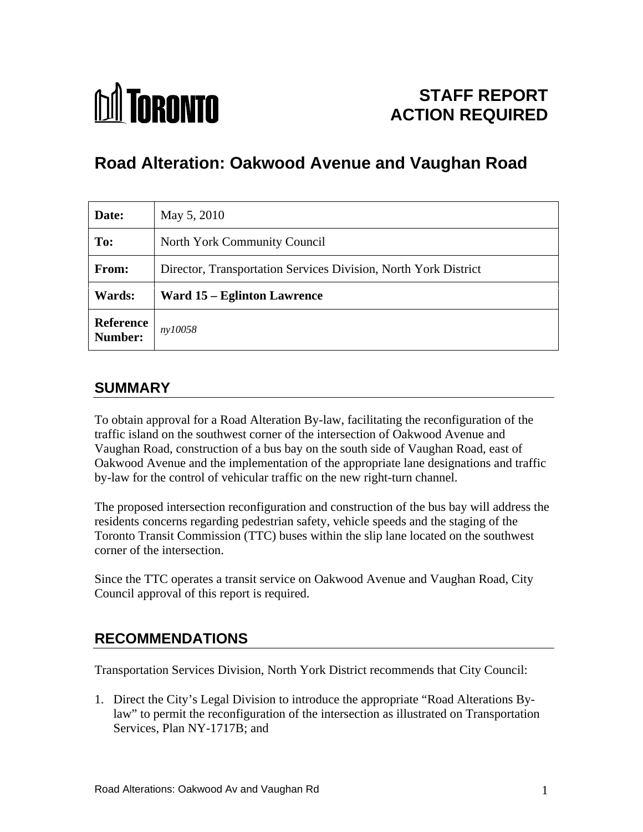

# **STAFF REPORT ACTION REQUIRED**

# **Road Alteration: Oakwood Avenue and Vaughan Road**

| Date:                | May 5, 2010                                                     |
|----------------------|-----------------------------------------------------------------|
| To:                  | North York Community Council                                    |
| From:                | Director, Transportation Services Division, North York District |
| <b>Wards:</b>        | <b>Ward 15 – Eglinton Lawrence</b>                              |
| Reference<br>Number: | ny10058                                                         |

### **SUMMARY**

To obtain approval for a Road Alteration By-law, facilitating the reconfiguration of the traffic island on the southwest corner of the intersection of Oakwood Avenue and Vaughan Road, construction of a bus bay on the south side of Vaughan Road, east of Oakwood Avenue and the implementation of the appropriate lane designations and traffic by-law for the control of vehicular traffic on the new right-turn channel.

The proposed intersection reconfiguration and construction of the bus bay will address the residents concerns regarding pedestrian safety, vehicle speeds and the staging of the Toronto Transit Commission (TTC) buses within the slip lane located on the southwest corner of the intersection.

Since the TTC operates a transit service on Oakwood Avenue and Vaughan Road, City Council approval of this report is required.

### **RECOMMENDATIONS**

Transportation Services Division, North York District recommends that City Council:

1. Direct the City's Legal Division to introduce the appropriate "Road Alterations Bylaw" to permit the reconfiguration of the intersection as illustrated on Transportation Services, Plan NY-1717B; and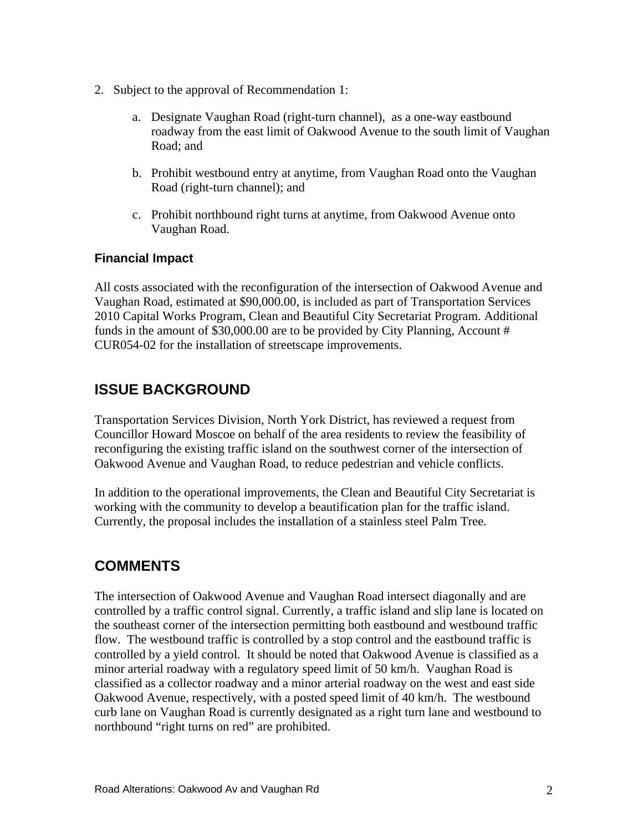- 2. Subject to the approval of Recommendation 1:
	- a. Designate Vaughan Road (right-turn channel), as a one-way eastbound roadway from the east limit of Oakwood Avenue to the south limit of Vaughan Road; and state of the state of the state of the state of the state of the state of the state of the state of the state of the state of the state of the state of the state of the state of the state of the state of the stat
	- b. Prohibit westbound entry at anytime, from Vaughan Road onto the Vaughan Road (right-turn channel); and
	- c. Prohibit northbound right turns at anytime, from Oakwood Avenue onto Vaughan Road.

#### **Financial Impact**

All costs associated with the reconfiguration of the intersection of Oakwood Avenue and Vaughan Road, estimated at \$90,000.00, is included as part of Transportation Services 2010 Capital Works Program, Clean and Beautiful City Secretariat Program. Additional funds in the amount of \$30,000.00 are to be provided by City Planning, Account # CUR054-02 for the installation of streetscape improvements.

# **ISSUE BACKGROUND**

Transportation Services Division, North York District, has reviewed a request from Councillor Howard Moscoe on behalf of the area residents to review the feasibility of reconfiguring the existing traffic island on the southwest corner of the intersection of Oakwood Avenue and Vaughan Road, to reduce pedestrian and vehicle conflicts.

In addition to the operational improvements, the Clean and Beautiful City Secretariat is working with the community to develop a beautification plan for the traffic island. Currently, the proposal includes the installation of a stainless steel Palm Tree.

## **COMMENTS**

The intersection of Oakwood Avenue and Vaughan Road intersect diagonally and are controlled by a traffic control signal. Currently, a traffic island and slip lane is located on the southeast corner of the intersection permitting both eastbound and westbound traffic flow. The westbound traffic is controlled by a stop control and the eastbound traffic is controlled by a yield control. It should be noted that Oakwood Avenue is classified as a minor arterial roadway with a regulatory speed limit of 50 km/h. Vaughan Road is classified as a collector roadway and a minor arterial roadway on the west and east side Oakwood Avenue, respectively, with a posted speed limit of 40 km/h. The westbound curb lane on Vaughan Road is currently designated as a right turn lane and westbound to northbound "right turns on red" are prohibited.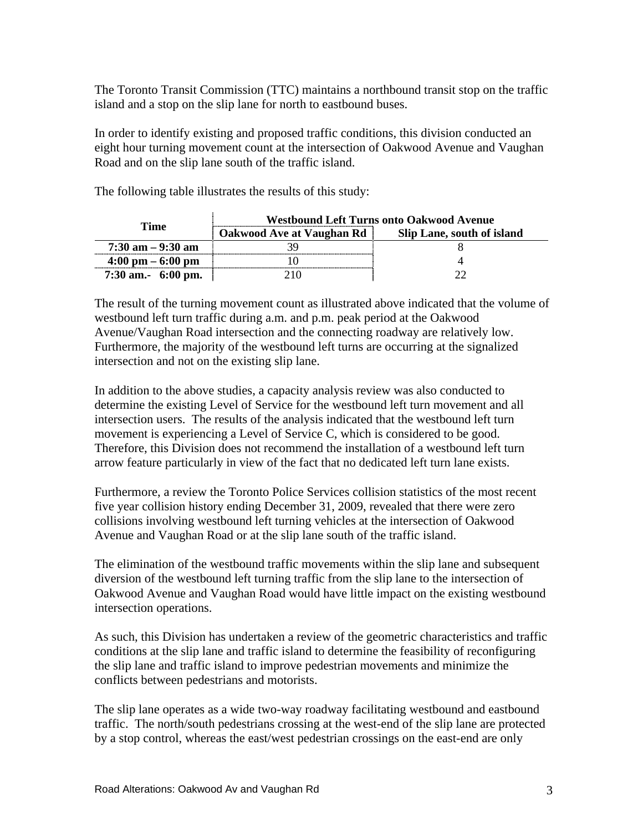The Toronto Transit Commission (TTC) maintains a northbound transit stop on the traffic island and a stop on the slip lane for north to eastbound buses.

In order to identify existing and proposed traffic conditions, this division conducted an eight hour turning movement count at the intersection of Oakwood Avenue and Vaughan Road and on the slip lane south of the traffic island.

The following table illustrates the results of this study:

| <b>Time</b>                         | <b>Westbound Left Turns onto Oakwood Avenue</b> |                            |
|-------------------------------------|-------------------------------------------------|----------------------------|
|                                     | Oakwood Ave at Vaughan Rd                       | Slip Lane, south of island |
| $7:30$ am $-9:30$ am                |                                                 |                            |
| $4:00 \text{ pm} - 6:00 \text{ pm}$ |                                                 |                            |
| 7:30 am.- 6:00 pm.                  |                                                 |                            |

The result of the turning movement count as illustrated above indicated that the volume of westbound left turn traffic during a.m. and p.m. peak period at the Oakwood Avenue/Vaughan Road intersection and the connecting roadway are relatively low. Furthermore, the majority of the westbound left turns are occurring at the signalized intersection and not on the existing slip lane.

In addition to the above studies, a capacity analysis review was also conducted to determine the existing Level of Service for the westbound left turn movement and all intersection users. The results of the analysis indicated that the westbound left turn movement is experiencing a Level of Service C, which is considered to be good. Therefore, this Division does not recommend the installation of a westbound left turn arrow feature particularly in view of the fact that no dedicated left turn lane exists.

Furthermore, a review the Toronto Police Services collision statistics of the most recent five year collision history ending December 31, 2009, revealed that there were zero collisions involving westbound left turning vehicles at the intersection of Oakwood Avenue and Vaughan Road or at the slip lane south of the traffic island.

The elimination of the westbound traffic movements within the slip lane and subsequent diversion of the westbound left turning traffic from the slip lane to the intersection of Oakwood Avenue and Vaughan Road would have little impact on the existing westbound intersection operations.

As such, this Division has undertaken a review of the geometric characteristics and traffic conditions at the slip lane and traffic island to determine the feasibility of reconfiguring the slip lane and traffic island to improve pedestrian movements and minimize the conflicts between pedestrians and motorists.

The slip lane operates as a wide two-way roadway facilitating westbound and eastbound traffic. The north/south pedestrians crossing at the west-end of the slip lane are protected by a stop control, whereas the east/west pedestrian crossings on the east-end are only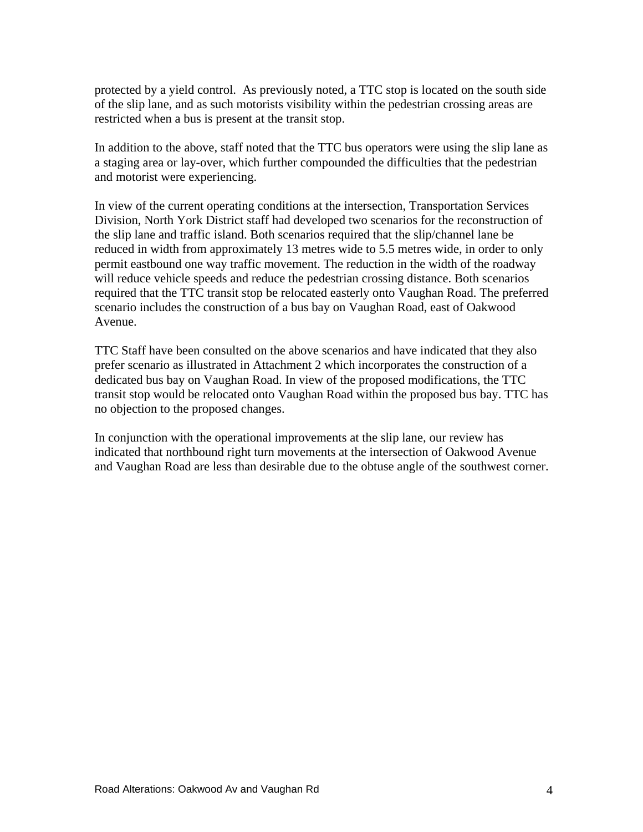protected by a yield control. As previously noted, a TTC stop is located on the south side of the slip lane, and as such motorists visibility within the pedestrian crossing areas are restricted when a bus is present at the transit stop.

In addition to the above, staff noted that the TTC bus operators were using the slip lane as a staging area or lay-over, which further compounded the difficulties that the pedestrian and motorist were experiencing.

In view of the current operating conditions at the intersection, Transportation Services Division, North York District staff had developed two scenarios for the reconstruction of the slip lane and traffic island. Both scenarios required that the slip/channel lane be reduced in width from approximately 13 metres wide to 5.5 metres wide, in order to only permit eastbound one way traffic movement. The reduction in the width of the roadway will reduce vehicle speeds and reduce the pedestrian crossing distance. Both scenarios required that the TTC transit stop be relocated easterly onto Vaughan Road. The preferred scenario includes the construction of a bus bay on Vaughan Road, east of Oakwood Avenue.

TTC Staff have been consulted on the above scenarios and have indicated that they also prefer scenario as illustrated in Attachment 2 which incorporates the construction of a dedicated bus bay on Vaughan Road. In view of the proposed modifications, the TTC transit stop would be relocated onto Vaughan Road within the proposed bus bay. TTC has no objection to the proposed changes.

In conjunction with the operational improvements at the slip lane, our review has indicated that northbound right turn movements at the intersection of Oakwood Avenue and Vaughan Road are less than desirable due to the obtuse angle of the southwest corner.